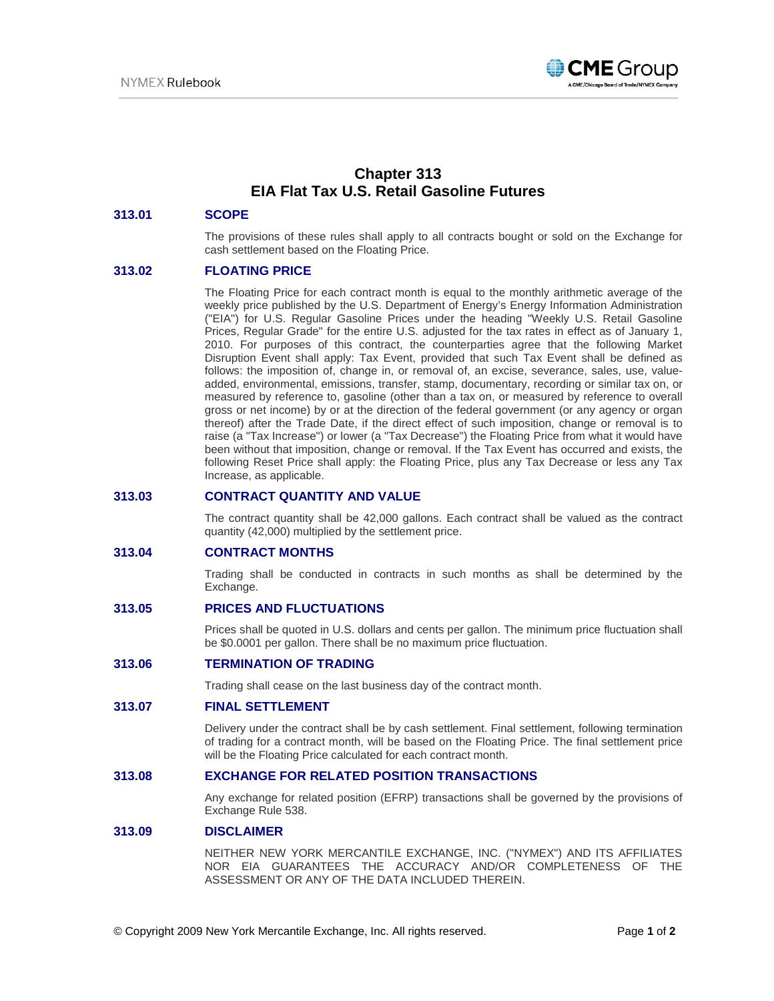

# **Chapter 313 EIA Flat Tax U.S. Retail Gasoline Futures**

#### **313.01 SCOPE**

The provisions of these rules shall apply to all contracts bought or sold on the Exchange for cash settlement based on the Floating Price.

### **313.02 FLOATING PRICE**

The Floating Price for each contract month is equal to the monthly arithmetic average of the weekly price published by the U.S. Department of Energy's Energy Information Administration ("EIA") for U.S. Regular Gasoline Prices under the heading "Weekly U.S. Retail Gasoline Prices, Regular Grade" for the entire U.S. adjusted for the tax rates in effect as of January 1, 2010. For purposes of this contract, the counterparties agree that the following Market Disruption Event shall apply: Tax Event, provided that such Tax Event shall be defined as follows: the imposition of, change in, or removal of, an excise, severance, sales, use, valueadded, environmental, emissions, transfer, stamp, documentary, recording or similar tax on, or measured by reference to, gasoline (other than a tax on, or measured by reference to overall gross or net income) by or at the direction of the federal government (or any agency or organ thereof) after the Trade Date, if the direct effect of such imposition, change or removal is to raise (a "Tax Increase") or lower (a "Tax Decrease") the Floating Price from what it would have been without that imposition, change or removal. If the Tax Event has occurred and exists, the following Reset Price shall apply: the Floating Price, plus any Tax Decrease or less any Tax Increase, as applicable.

### **313.03 CONTRACT QUANTITY AND VALUE**

The contract quantity shall be 42,000 gallons. Each contract shall be valued as the contract quantity (42,000) multiplied by the settlement price.

### **313.04 CONTRACT MONTHS**

Trading shall be conducted in contracts in such months as shall be determined by the Exchange.

#### **313.05 PRICES AND FLUCTUATIONS**

Prices shall be quoted in U.S. dollars and cents per gallon. The minimum price fluctuation shall be \$0.0001 per gallon. There shall be no maximum price fluctuation.

#### **313.06 TERMINATION OF TRADING**

Trading shall cease on the last business day of the contract month.

#### **313.07 FINAL SETTLEMENT**

Delivery under the contract shall be by cash settlement. Final settlement, following termination of trading for a contract month, will be based on the Floating Price. The final settlement price will be the Floating Price calculated for each contract month.

## **313.08 EXCHANGE FOR RELATED POSITION TRANSACTIONS**

Any exchange for related position (EFRP) transactions shall be governed by the provisions of Exchange Rule 538.

#### **313.09 DISCLAIMER**

NEITHER NEW YORK MERCANTILE EXCHANGE, INC. ("NYMEX") AND ITS AFFILIATES NOR EIA GUARANTEES THE ACCURACY AND/OR COMPLETENESS OF THE ASSESSMENT OR ANY OF THE DATA INCLUDED THEREIN.